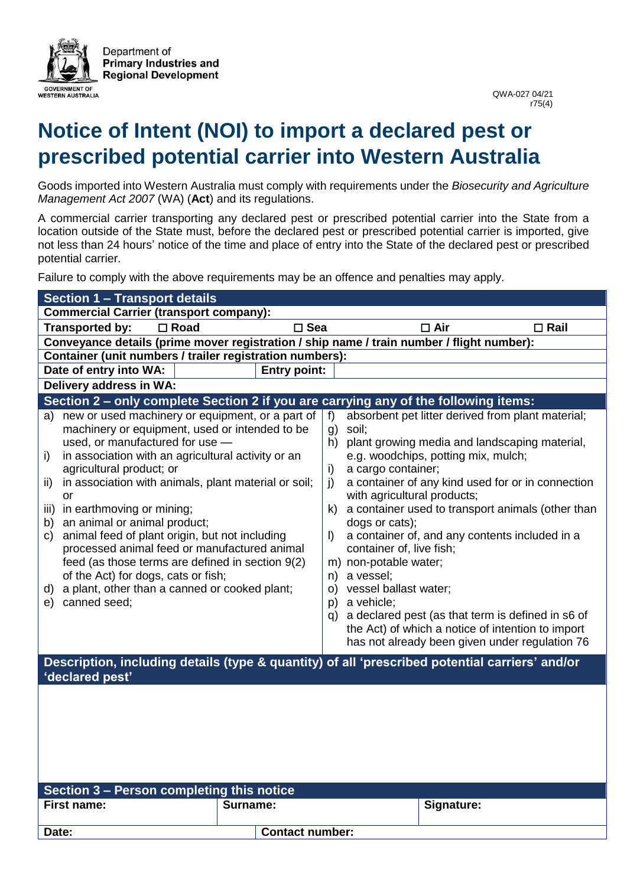

## **Notice of Intent (NOI) to import a declared pest or prescribed potential carrier into Western Australia**

Goods imported into Western Australia must comply with requirements under the *Biosecurity and Agriculture Management Act 2007* (WA) (**Act**) and its regulations.

A commercial carrier transporting any declared pest or prescribed potential carrier into the State from a location outside of the State must, before the declared pest or prescribed potential carrier is imported, give not less than 24 hours' notice of the time and place of entry into the State of the declared pest or prescribed potential carrier.

Failure to comply with the above requirements may be an offence and penalties may apply.

| $\Box$ Rail                                                                                                                                                                                                                                                                                                                                                                                                                |  |  |  |  |
|----------------------------------------------------------------------------------------------------------------------------------------------------------------------------------------------------------------------------------------------------------------------------------------------------------------------------------------------------------------------------------------------------------------------------|--|--|--|--|
| Conveyance details (prime mover registration / ship name / train number / flight number):                                                                                                                                                                                                                                                                                                                                  |  |  |  |  |
| Container (unit numbers / trailer registration numbers):                                                                                                                                                                                                                                                                                                                                                                   |  |  |  |  |
| Date of entry into WA:<br><b>Entry point:</b>                                                                                                                                                                                                                                                                                                                                                                              |  |  |  |  |
| Delivery address in WA:                                                                                                                                                                                                                                                                                                                                                                                                    |  |  |  |  |
| Section 2 – only complete Section 2 if you are carrying any of the following items:                                                                                                                                                                                                                                                                                                                                        |  |  |  |  |
| absorbent pet litter derived from plant material;<br>plant growing media and landscaping material,<br>a container of any kind used for or in connection<br>a container used to transport animals (other than<br>a container of, and any contents included in a<br>a declared pest (as that term is defined in s6 of<br>the Act) of which a notice of intention to import<br>has not already been given under regulation 76 |  |  |  |  |
| Description, including details (type & quantity) of all 'prescribed potential carriers' and/or<br>'declared pest'                                                                                                                                                                                                                                                                                                          |  |  |  |  |
| Section 3 - Person completing this notice<br><b>First name:</b><br>Surname:<br>Signature:                                                                                                                                                                                                                                                                                                                                  |  |  |  |  |
|                                                                                                                                                                                                                                                                                                                                                                                                                            |  |  |  |  |
|                                                                                                                                                                                                                                                                                                                                                                                                                            |  |  |  |  |